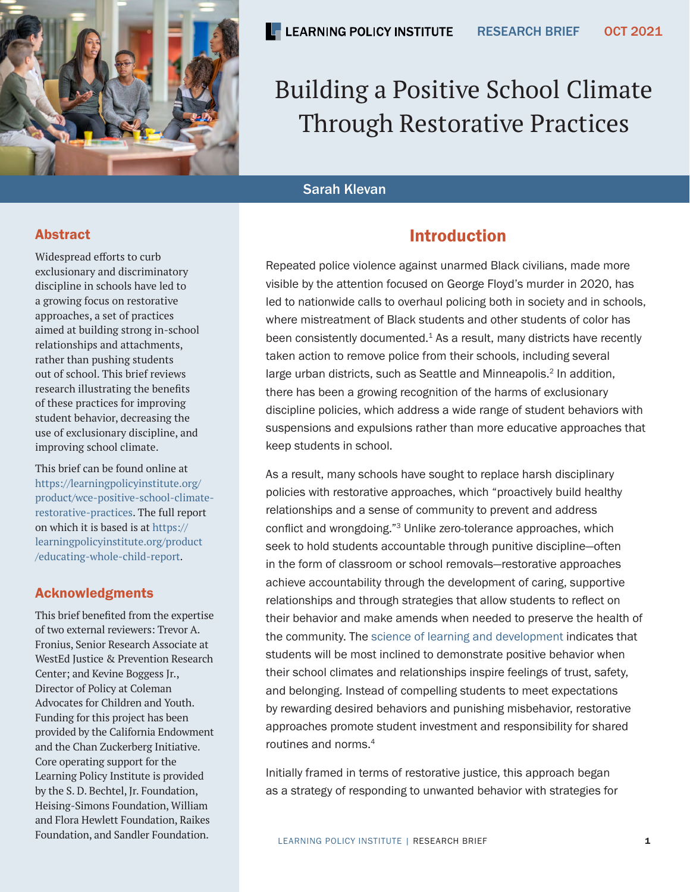

# Building a Positive School Climate Through Restorative Practices

## Sarah Klevan

## Abstract

Widespread efforts to curb exclusionary and discriminatory discipline in schools have led to a growing focus on restorative approaches, a set of practices aimed at building strong in-school relationships and attachments, rather than pushing students out of school. This brief reviews research illustrating the benefits of these practices for improving student behavior, decreasing the use of exclusionary discipline, and improving school climate.

This brief can be found online at [https://learningpolicyinstitute.org/](https://learningpolicyinstitute.org/product/wce-positive-school-climate-restorative-practices) [product/wce-positive-school-climate](https://learningpolicyinstitute.org/product/wce-positive-school-climate-restorative-practices)[restorative-practices.](https://learningpolicyinstitute.org/product/wce-positive-school-climate-restorative-practices) The full report on which it is based is at [https://](https://learningpolicyinstitute.org/product/educating-whole-child-report) [learningpolicyinstitute.org/product](https://learningpolicyinstitute.org/product/educating-whole-child-report) [/educating-whole-child-report.](https://learningpolicyinstitute.org/product/educating-whole-child-report)

## Acknowledgments

This brief benefited from the expertise of two external reviewers: Trevor A. Fronius, Senior Research Associate at WestEd Justice & Prevention Research Center; and Kevine Boggess Jr., Director of Policy at Coleman Advocates for Children and Youth. Funding for this project has been provided by the California Endowment and the Chan Zuckerberg Initiative. Core operating support for the Learning Policy Institute is provided by the S. D. Bechtel, Jr. Foundation, Heising-Simons Foundation, William and Flora Hewlett Foundation, Raikes Foundation, and Sandler Foundation.

## Introduction

Repeated police violence against unarmed Black civilians, made more visible by the attention focused on George Floyd's murder in 2020, has led to nationwide calls to overhaul policing both in society and in schools, where mistreatment of Black students and other students of color has been consistently documented.<sup>1</sup> As a result, many districts have recently taken action to remove police from their schools, including several large urban districts, such as Seattle and Minneapolis.<sup>2</sup> In addition, there has been a growing recognition of the harms of exclusionary discipline policies, which address a wide range of student behaviors with suspensions and expulsions rather than more educative approaches that keep students in school.

As a result, many schools have sought to replace harsh disciplinary policies with restorative approaches, which "proactively build healthy relationships and a sense of community to prevent and address conflict and wrongdoing."3 Unlike zero-tolerance approaches, which seek to hold students accountable through punitive discipline—often in the form of classroom or school removals—restorative approaches achieve accountability through the development of caring, supportive relationships and through strategies that allow students to reflect on their behavior and make amends when needed to preserve the health of the community. The [science of learning and development](https://k12.designprinciples.org/) indicates that students will be most inclined to demonstrate positive behavior when their school climates and relationships inspire feelings of trust, safety, and belonging. Instead of compelling students to meet expectations by rewarding desired behaviors and punishing misbehavior, restorative approaches promote student investment and responsibility for shared routines and norms.<sup>4</sup>

Initially framed in terms of restorative justice, this approach began as a strategy of responding to unwanted behavior with strategies for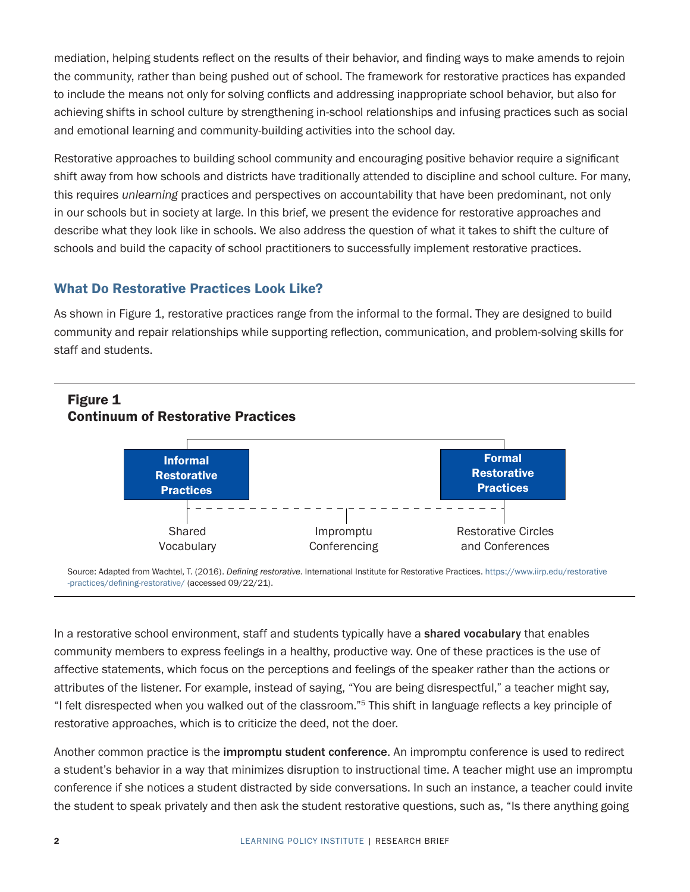mediation, helping students reflect on the results of their behavior, and finding ways to make amends to rejoin the community, rather than being pushed out of school. The framework for restorative practices has expanded to include the means not only for solving conflicts and addressing inappropriate school behavior, but also for achieving shifts in school culture by strengthening in-school relationships and infusing practices such as social and emotional learning and community-building activities into the school day.

Restorative approaches to building school community and encouraging positive behavior require a significant shift away from how schools and districts have traditionally attended to discipline and school culture. For many, this requires *unlearning* practices and perspectives on accountability that have been predominant, not only in our schools but in society at large. In this brief, we present the evidence for restorative approaches and describe what they look like in schools. We also address the question of what it takes to shift the culture of schools and build the capacity of school practitioners to successfully implement restorative practices.

## What Do Restorative Practices Look Like?

As shown in Figure 1, restorative practices range from the informal to the formal. They are designed to build community and repair relationships while supporting reflection, communication, and problem-solving skills for staff and students.



#### Source: Adapted from Wachtel, T. (2016). *Defining restorative*. International Institute for Restorative Practices. [https://www.iirp.edu/restorative](https://www.iirp.edu/restorative-practices/defining-restorative/) [-practices/defining-restorative/](https://www.iirp.edu/restorative-practices/defining-restorative/) (accessed 09/22/21).

In a restorative school environment, staff and students typically have a shared vocabulary that enables community members to express feelings in a healthy, productive way. One of these practices is the use of affective statements, which focus on the perceptions and feelings of the speaker rather than the actions or attributes of the listener. For example, instead of saying, "You are being disrespectful," a teacher might say, "I felt disrespected when you walked out of the classroom."5 This shift in language reflects a key principle of restorative approaches, which is to criticize the deed, not the doer.

Another common practice is the impromptu student conference. An impromptu conference is used to redirect a student's behavior in a way that minimizes disruption to instructional time. A teacher might use an impromptu conference if she notices a student distracted by side conversations. In such an instance, a teacher could invite the student to speak privately and then ask the student restorative questions, such as, "Is there anything going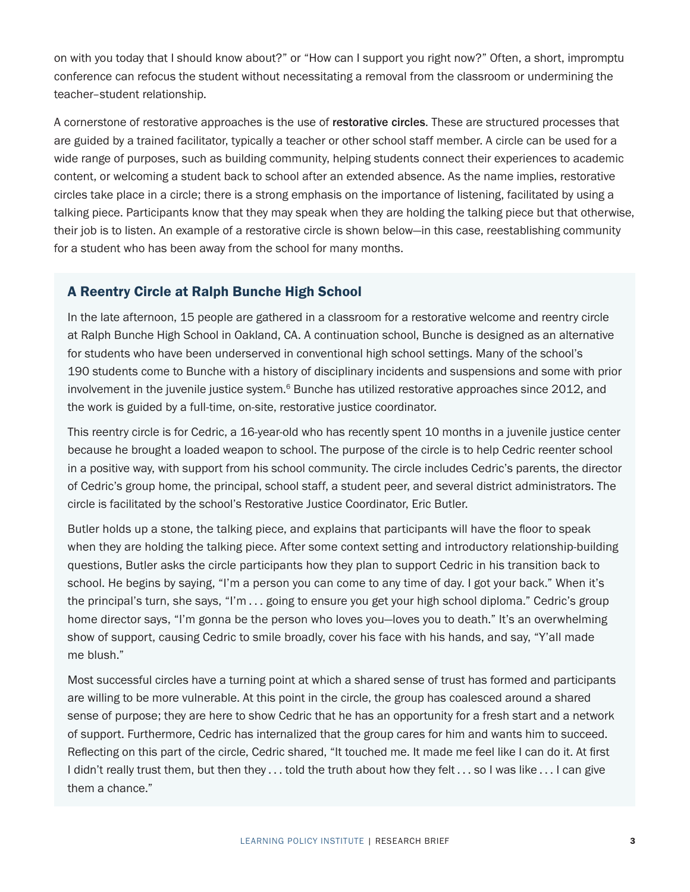on with you today that I should know about?" or "How can I support you right now?" Often, a short, impromptu conference can refocus the student without necessitating a removal from the classroom or undermining the teacher–student relationship.

A cornerstone of restorative approaches is the use of restorative circles. These are structured processes that are guided by a trained facilitator, typically a teacher or other school staff member. A circle can be used for a wide range of purposes, such as building community, helping students connect their experiences to academic content, or welcoming a student back to school after an extended absence. As the name implies, restorative circles take place in a circle; there is a strong emphasis on the importance of listening, facilitated by using a talking piece. Participants know that they may speak when they are holding the talking piece but that otherwise, their job is to listen. An example of a restorative circle is shown below—in this case, reestablishing community for a student who has been away from the school for many months.

### A Reentry Circle at Ralph Bunche High School

In the late afternoon, 15 people are gathered in a classroom for a restorative welcome and reentry circle at Ralph Bunche High School in Oakland, CA. A continuation school, Bunche is designed as an alternative for students who have been underserved in conventional high school settings. Many of the school's 190 students come to Bunche with a history of disciplinary incidents and suspensions and some with prior involvement in the juvenile justice system. $6$  Bunche has utilized restorative approaches since 2012, and the work is guided by a full-time, on-site, restorative justice coordinator.

This reentry circle is for Cedric, a 16-year-old who has recently spent 10 months in a juvenile justice center because he brought a loaded weapon to school. The purpose of the circle is to help Cedric reenter school in a positive way, with support from his school community. The circle includes Cedric's parents, the director of Cedric's group home, the principal, school staff, a student peer, and several district administrators. The circle is facilitated by the school's Restorative Justice Coordinator, Eric Butler.

Butler holds up a stone, the talking piece, and explains that participants will have the floor to speak when they are holding the talking piece. After some context setting and introductory relationship-building questions, Butler asks the circle participants how they plan to support Cedric in his transition back to school. He begins by saying, "I'm a person you can come to any time of day. I got your back." When it's the principal's turn, she says, "I'm . . . going to ensure you get your high school diploma." Cedric's group home director says, "I'm gonna be the person who loves you—loves you to death." It's an overwhelming show of support, causing Cedric to smile broadly, cover his face with his hands, and say, "Y'all made me blush."

Most successful circles have a turning point at which a shared sense of trust has formed and participants are willing to be more vulnerable. At this point in the circle, the group has coalesced around a shared sense of purpose; they are here to show Cedric that he has an opportunity for a fresh start and a network of support. Furthermore, Cedric has internalized that the group cares for him and wants him to succeed. Reflecting on this part of the circle, Cedric shared, "It touched me. It made me feel like I can do it. At first I didn't really trust them, but then they . . . told the truth about how they felt . . . so I was like . . . I can give them a chance."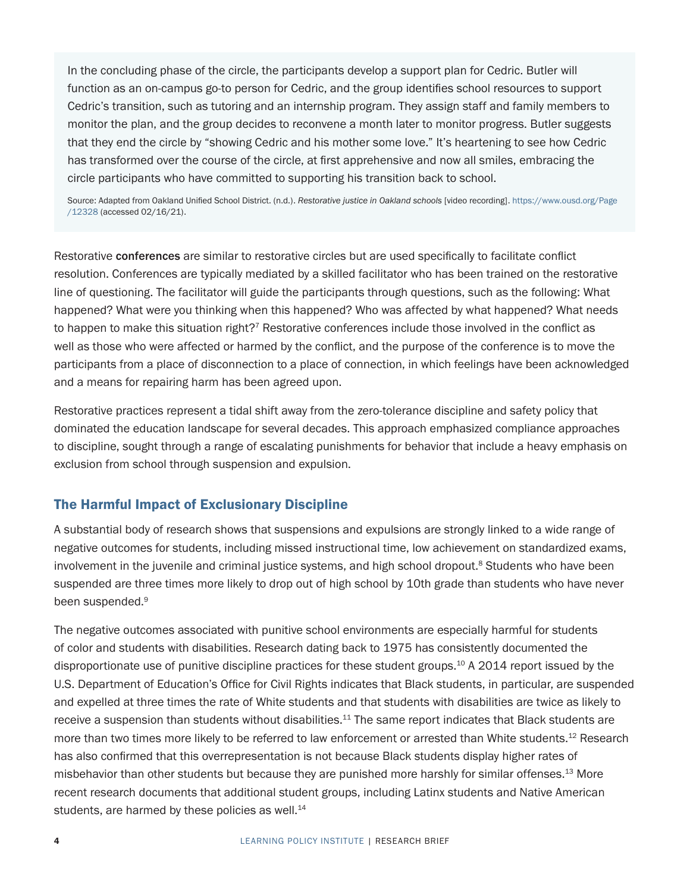In the concluding phase of the circle, the participants develop a support plan for Cedric. Butler will function as an on-campus go-to person for Cedric, and the group identifies school resources to support Cedric's transition, such as tutoring and an internship program. They assign staff and family members to monitor the plan, and the group decides to reconvene a month later to monitor progress. Butler suggests that they end the circle by "showing Cedric and his mother some love." It's heartening to see how Cedric has transformed over the course of the circle, at first apprehensive and now all smiles, embracing the circle participants who have committed to supporting his transition back to school.

Source: Adapted from Oakland Unified School District. (n.d.). *Restorative justice in Oakland schools* [video recording]. [https://www.ousd.org/Page](https://www.ousd.org/Page/12328) [/12328](https://www.ousd.org/Page/12328) (accessed 02/16/21).

Restorative conferences are similar to restorative circles but are used specifically to facilitate conflict resolution. Conferences are typically mediated by a skilled facilitator who has been trained on the restorative line of questioning. The facilitator will guide the participants through questions, such as the following: What happened? What were you thinking when this happened? Who was affected by what happened? What needs to happen to make this situation right?<sup>7</sup> Restorative conferences include those involved in the conflict as well as those who were affected or harmed by the conflict, and the purpose of the conference is to move the participants from a place of disconnection to a place of connection, in which feelings have been acknowledged and a means for repairing harm has been agreed upon.

Restorative practices represent a tidal shift away from the zero-tolerance discipline and safety policy that dominated the education landscape for several decades. This approach emphasized compliance approaches to discipline, sought through a range of escalating punishments for behavior that include a heavy emphasis on exclusion from school through suspension and expulsion.

### The Harmful Impact of Exclusionary Discipline

A substantial body of research shows that suspensions and expulsions are strongly linked to a wide range of negative outcomes for students, including missed instructional time, low achievement on standardized exams, involvement in the juvenile and criminal justice systems, and high school dropout.<sup>8</sup> Students who have been suspended are three times more likely to drop out of high school by 10th grade than students who have never been suspended.<sup>9</sup>

The negative outcomes associated with punitive school environments are especially harmful for students of color and students with disabilities. Research dating back to 1975 has consistently documented the disproportionate use of punitive discipline practices for these student groups.10 A 2014 report issued by the U.S. Department of Education's Office for Civil Rights indicates that Black students, in particular, are suspended and expelled at three times the rate of White students and that students with disabilities are twice as likely to receive a suspension than students without disabilities.<sup>11</sup> The same report indicates that Black students are more than two times more likely to be referred to law enforcement or arrested than White students.<sup>12</sup> Research has also confirmed that this overrepresentation is not because Black students display higher rates of misbehavior than other students but because they are punished more harshly for similar offenses.<sup>13</sup> More recent research documents that additional student groups, including Latinx students and Native American students, are harmed by these policies as well.<sup>14</sup>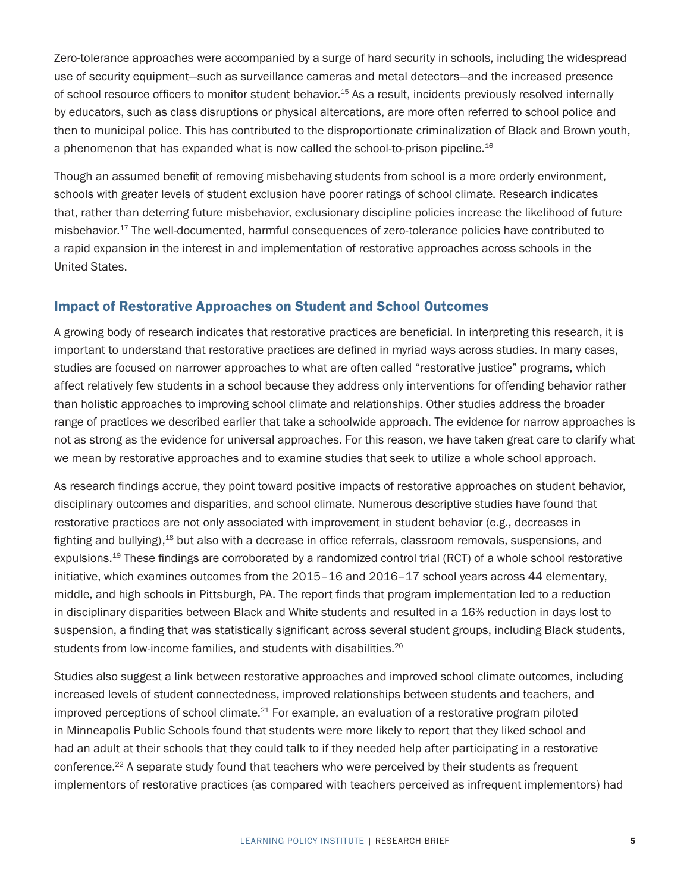Zero-tolerance approaches were accompanied by a surge of hard security in schools, including the widespread use of security equipment—such as surveillance cameras and metal detectors—and the increased presence of school resource officers to monitor student behavior.<sup>15</sup> As a result, incidents previously resolved internally by educators, such as class disruptions or physical altercations, are more often referred to school police and then to municipal police. This has contributed to the disproportionate criminalization of Black and Brown youth, a phenomenon that has expanded what is now called the school-to-prison pipeline.16

Though an assumed benefit of removing misbehaving students from school is a more orderly environment, schools with greater levels of student exclusion have poorer ratings of school climate. Research indicates that, rather than deterring future misbehavior, exclusionary discipline policies increase the likelihood of future misbehavior.17 The well-documented, harmful consequences of zero-tolerance policies have contributed to a rapid expansion in the interest in and implementation of restorative approaches across schools in the United States.

#### Impact of Restorative Approaches on Student and School Outcomes

A growing body of research indicates that restorative practices are beneficial. In interpreting this research, it is important to understand that restorative practices are defined in myriad ways across studies. In many cases, studies are focused on narrower approaches to what are often called "restorative justice" programs, which affect relatively few students in a school because they address only interventions for offending behavior rather than holistic approaches to improving school climate and relationships. Other studies address the broader range of practices we described earlier that take a schoolwide approach. The evidence for narrow approaches is not as strong as the evidence for universal approaches. For this reason, we have taken great care to clarify what we mean by restorative approaches and to examine studies that seek to utilize a whole school approach.

As research findings accrue, they point toward positive impacts of restorative approaches on student behavior, disciplinary outcomes and disparities, and school climate. Numerous descriptive studies have found that restorative practices are not only associated with improvement in student behavior (e.g., decreases in fighting and bullying),<sup>18</sup> but also with a decrease in office referrals, classroom removals, suspensions, and expulsions.<sup>19</sup> These findings are corroborated by a randomized control trial (RCT) of a whole school restorative initiative, which examines outcomes from the 2015–16 and 2016–17 school years across 44 elementary, middle, and high schools in Pittsburgh, PA. The report finds that program implementation led to a reduction in disciplinary disparities between Black and White students and resulted in a 16% reduction in days lost to suspension, a finding that was statistically significant across several student groups, including Black students, students from low-income families, and students with disabilities.<sup>20</sup>

Studies also suggest a link between restorative approaches and improved school climate outcomes, including increased levels of student connectedness, improved relationships between students and teachers, and improved perceptions of school climate.<sup>21</sup> For example, an evaluation of a restorative program piloted in Minneapolis Public Schools found that students were more likely to report that they liked school and had an adult at their schools that they could talk to if they needed help after participating in a restorative conference.<sup>22</sup> A separate study found that teachers who were perceived by their students as frequent implementors of restorative practices (as compared with teachers perceived as infrequent implementors) had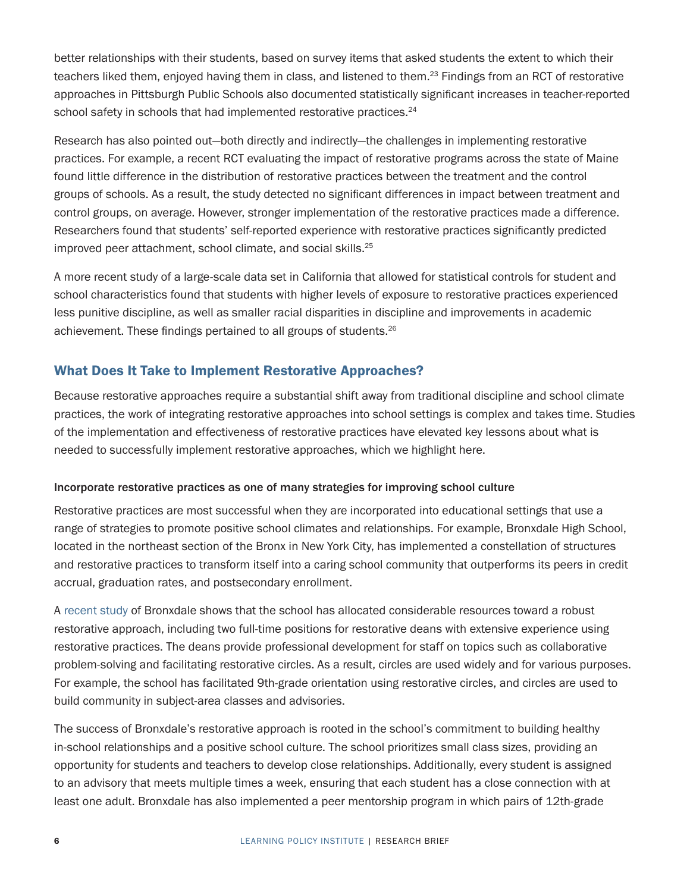better relationships with their students, based on survey items that asked students the extent to which their teachers liked them, enjoyed having them in class, and listened to them.<sup>23</sup> Findings from an RCT of restorative approaches in Pittsburgh Public Schools also documented statistically significant increases in teacher-reported school safety in schools that had implemented restorative practices.<sup>24</sup>

Research has also pointed out—both directly and indirectly—the challenges in implementing restorative practices. For example, a recent RCT evaluating the impact of restorative programs across the state of Maine found little difference in the distribution of restorative practices between the treatment and the control groups of schools. As a result, the study detected no significant differences in impact between treatment and control groups, on average. However, stronger implementation of the restorative practices made a difference. Researchers found that students' self-reported experience with restorative practices significantly predicted improved peer attachment, school climate, and social skills.<sup>25</sup>

A more recent study of a large-scale data set in California that allowed for statistical controls for student and school characteristics found that students with higher levels of exposure to restorative practices experienced less punitive discipline, as well as smaller racial disparities in discipline and improvements in academic achievement. These findings pertained to all groups of students.26

## What Does It Take to Implement Restorative Approaches?

Because restorative approaches require a substantial shift away from traditional discipline and school climate practices, the work of integrating restorative approaches into school settings is complex and takes time. Studies of the implementation and effectiveness of restorative practices have elevated key lessons about what is needed to successfully implement restorative approaches, which we highlight here.

#### Incorporate restorative practices as one of many strategies for improving school culture

Restorative practices are most successful when they are incorporated into educational settings that use a range of strategies to promote positive school climates and relationships. For example, Bronxdale High School, located in the northeast section of the Bronx in New York City, has implemented a constellation of structures and restorative practices to transform itself into a caring school community that outperforms its peers in credit accrual, graduation rates, and postsecondary enrollment.

A [recent study](https://learningpolicyinstitute.org/product/social-and-emotional-learning-case-study-bronxdale-report) of Bronxdale shows that the school has allocated considerable resources toward a robust restorative approach, including two full-time positions for restorative deans with extensive experience using restorative practices. The deans provide professional development for staff on topics such as collaborative problem-solving and facilitating restorative circles. As a result, circles are used widely and for various purposes. For example, the school has facilitated 9th-grade orientation using restorative circles, and circles are used to build community in subject-area classes and advisories.

The success of Bronxdale's restorative approach is rooted in the school's commitment to building healthy in-school relationships and a positive school culture. The school prioritizes small class sizes, providing an opportunity for students and teachers to develop close relationships. Additionally, every student is assigned to an advisory that meets multiple times a week, ensuring that each student has a close connection with at least one adult. Bronxdale has also implemented a peer mentorship program in which pairs of 12th-grade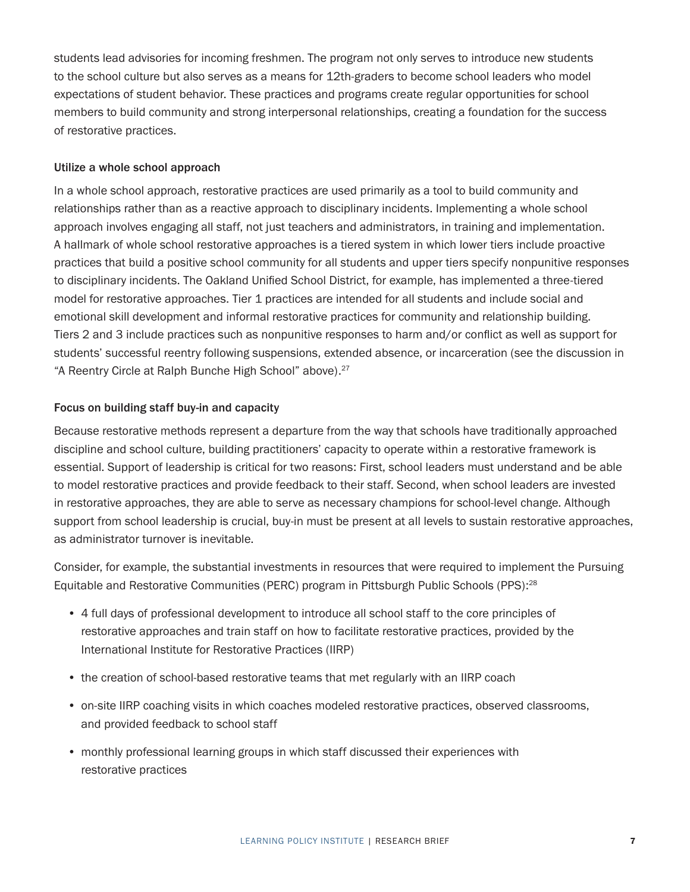students lead advisories for incoming freshmen. The program not only serves to introduce new students to the school culture but also serves as a means for 12th-graders to become school leaders who model expectations of student behavior. These practices and programs create regular opportunities for school members to build community and strong interpersonal relationships, creating a foundation for the success of restorative practices.

#### Utilize a whole school approach

In a whole school approach, restorative practices are used primarily as a tool to build community and relationships rather than as a reactive approach to disciplinary incidents. Implementing a whole school approach involves engaging all staff, not just teachers and administrators, in training and implementation. A hallmark of whole school restorative approaches is a tiered system in which lower tiers include proactive practices that build a positive school community for all students and upper tiers specify nonpunitive responses to disciplinary incidents. The Oakland Unified School District, for example, has implemented a three-tiered model for restorative approaches. Tier 1 practices are intended for all students and include social and emotional skill development and informal restorative practices for community and relationship building. Tiers 2 and 3 include practices such as nonpunitive responses to harm and/or conflict as well as support for students' successful reentry following suspensions, extended absence, or incarceration (see the discussion in "A Reentry Circle at Ralph Bunche High School" above).<sup>27</sup>

#### Focus on building staff buy-in and capacity

Because restorative methods represent a departure from the way that schools have traditionally approached discipline and school culture, building practitioners' capacity to operate within a restorative framework is essential. Support of leadership is critical for two reasons: First, school leaders must understand and be able to model restorative practices and provide feedback to their staff. Second, when school leaders are invested in restorative approaches, they are able to serve as necessary champions for school-level change. Although support from school leadership is crucial, buy-in must be present at all levels to sustain restorative approaches, as administrator turnover is inevitable.

Consider, for example, the substantial investments in resources that were required to implement the Pursuing Equitable and Restorative Communities (PERC) program in Pittsburgh Public Schools (PPS):<sup>28</sup>

- 4 full days of professional development to introduce all school staff to the core principles of restorative approaches and train staff on how to facilitate restorative practices, provided by the International Institute for Restorative Practices (IIRP)
- the creation of school-based restorative teams that met regularly with an IIRP coach
- on-site IIRP coaching visits in which coaches modeled restorative practices, observed classrooms, and provided feedback to school staff
- monthly professional learning groups in which staff discussed their experiences with restorative practices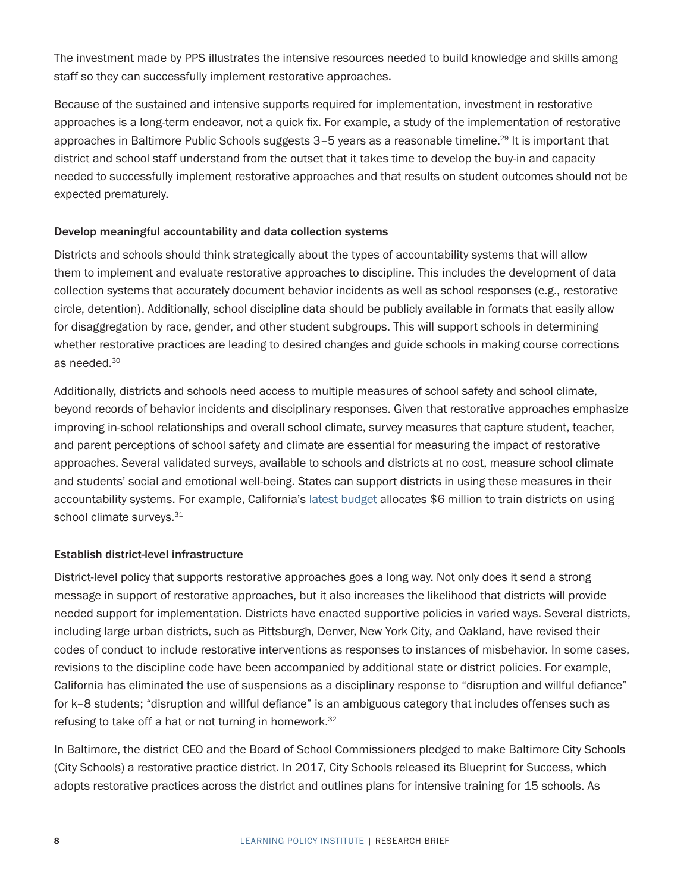The investment made by PPS illustrates the intensive resources needed to build knowledge and skills among staff so they can successfully implement restorative approaches.

Because of the sustained and intensive supports required for implementation, investment in restorative approaches is a long-term endeavor, not a quick fix. For example, a study of the implementation of restorative approaches in Baltimore Public Schools suggests 3-5 years as a reasonable timeline.<sup>29</sup> It is important that district and school staff understand from the outset that it takes time to develop the buy-in and capacity needed to successfully implement restorative approaches and that results on student outcomes should not be expected prematurely.

#### Develop meaningful accountability and data collection systems

Districts and schools should think strategically about the types of accountability systems that will allow them to implement and evaluate restorative approaches to discipline. This includes the development of data collection systems that accurately document behavior incidents as well as school responses (e.g., restorative circle, detention). Additionally, school discipline data should be publicly available in formats that easily allow for disaggregation by race, gender, and other student subgroups. This will support schools in determining whether restorative practices are leading to desired changes and guide schools in making course corrections as needed.30

Additionally, districts and schools need access to multiple measures of school safety and school climate, beyond records of behavior incidents and disciplinary responses. Given that restorative approaches emphasize improving in-school relationships and overall school climate, survey measures that capture student, teacher, and parent perceptions of school safety and climate are essential for measuring the impact of restorative approaches. Several validated surveys, available to schools and districts at no cost, measure school climate and students' social and emotional well-being. States can support districts in using these measures in their accountability systems. For example, California's [latest budget](https://leginfo.legislature.ca.gov/faces/billNavClient.xhtml?bill_id=202120220AB130) allocates \$6 million to train districts on using school climate surveys.<sup>31</sup>

#### Establish district-level infrastructure

District-level policy that supports restorative approaches goes a long way. Not only does it send a strong message in support of restorative approaches, but it also increases the likelihood that districts will provide needed support for implementation. Districts have enacted supportive policies in varied ways. Several districts, including large urban districts, such as Pittsburgh, Denver, New York City, and Oakland, have revised their codes of conduct to include restorative interventions as responses to instances of misbehavior. In some cases, revisions to the discipline code have been accompanied by additional state or district policies. For example, California has eliminated the use of suspensions as a disciplinary response to "disruption and willful defiance" for k–8 students; "disruption and willful defiance" is an ambiguous category that includes offenses such as refusing to take off a hat or not turning in homework.<sup>32</sup>

In Baltimore, the district CEO and the Board of School Commissioners pledged to make Baltimore City Schools (City Schools) a restorative practice district. In 2017, City Schools released its Blueprint for Success, which adopts restorative practices across the district and outlines plans for intensive training for 15 schools. As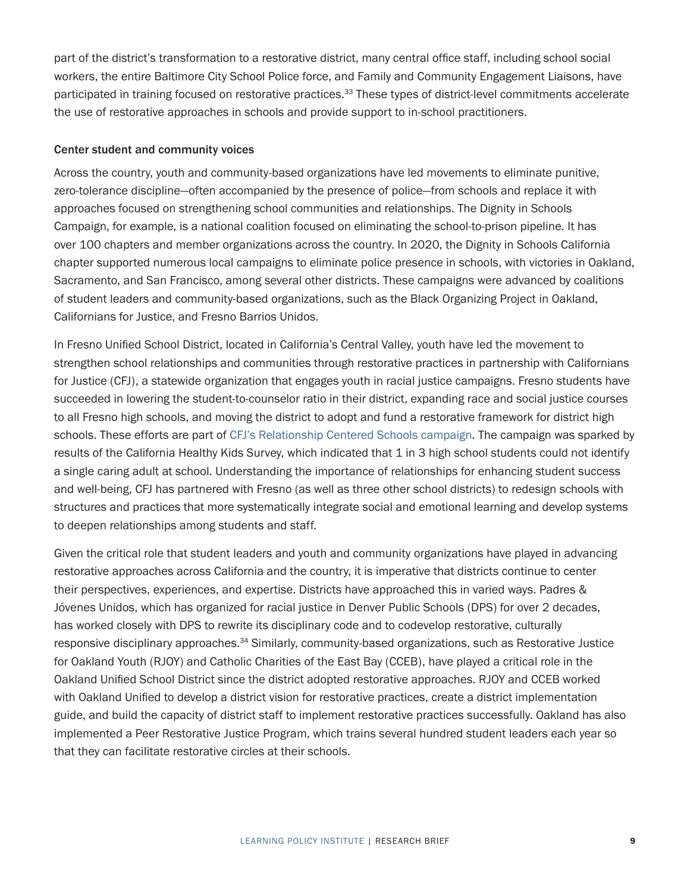part of the district's transformation to a restorative district, many central office staff, including school social workers, the entire Baltimore City School Police force, and Family and Community Engagement Liaisons, have participated in training focused on restorative practices.<sup>33</sup> These types of district-level commitments accelerate the use of restorative approaches in schools and provide support to in-school practitioners.

#### Center student and community voices

Across the country, youth and community-based organizations have led movements to eliminate punitive, zero-tolerance discipline—often accompanied by the presence of police—from schools and replace it with approaches focused on strengthening school communities and relationships. The Dignity in Schools Campaign, for example, is a national coalition focused on eliminating the school-to-prison pipeline. It has over 100 chapters and member organizations across the country. In 2020, the Dignity in Schools California chapter supported numerous local campaigns to eliminate police presence in schools, with victories in Oakland, Sacramento, and San Francisco, among several other districts. These campaigns were advanced by coalitions of student leaders and community-based organizations, such as the Black Organizing Project in Oakland, Californians for Justice, and Fresno Barrios Unidos.

In Fresno Unified School District, located in California's Central Valley, youth have led the movement to strengthen school relationships and communities through restorative practices in partnership with Californians for Justice (CFJ), a statewide organization that engages youth in racial justice campaigns. Fresno students have succeeded in lowering the student-to-counselor ratio in their district, expanding race and social justice courses to all Fresno high schools, and moving the district to adopt and fund a restorative framework for district high schools. These efforts are part of [CFJ's Relationship Centered Schools campaign.](https://caljustice.org/our-work/rcs/) The campaign was sparked by results of the California Healthy Kids Survey, which indicated that 1 in 3 high school students could not identify a single caring adult at school. Understanding the importance of relationships for enhancing student success and well-being, CFJ has partnered with Fresno (as well as three other school districts) to redesign schools with structures and practices that more systematically integrate social and emotional learning and develop systems to deepen relationships among students and staff.

Given the critical role that student leaders and youth and community organizations have played in advancing restorative approaches across California and the country, it is imperative that districts continue to center their perspectives, experiences, and expertise. Districts have approached this in varied ways. Padres & Jóvenes Unidos, which has organized for racial justice in Denver Public Schools (DPS) for over 2 decades, has worked closely with DPS to rewrite its disciplinary code and to codevelop restorative, culturally responsive disciplinary approaches.<sup>34</sup> Similarly, community-based organizations, such as Restorative Justice for Oakland Youth (RJOY) and Catholic Charities of the East Bay (CCEB), have played a critical role in the Oakland Unified School District since the district adopted restorative approaches. RJOY and CCEB worked with Oakland Unified to develop a district vision for restorative practices, create a district implementation guide, and build the capacity of district staff to implement restorative practices successfully. Oakland has also implemented a Peer Restorative Justice Program, which trains several hundred student leaders each year so that they can facilitate restorative circles at their schools.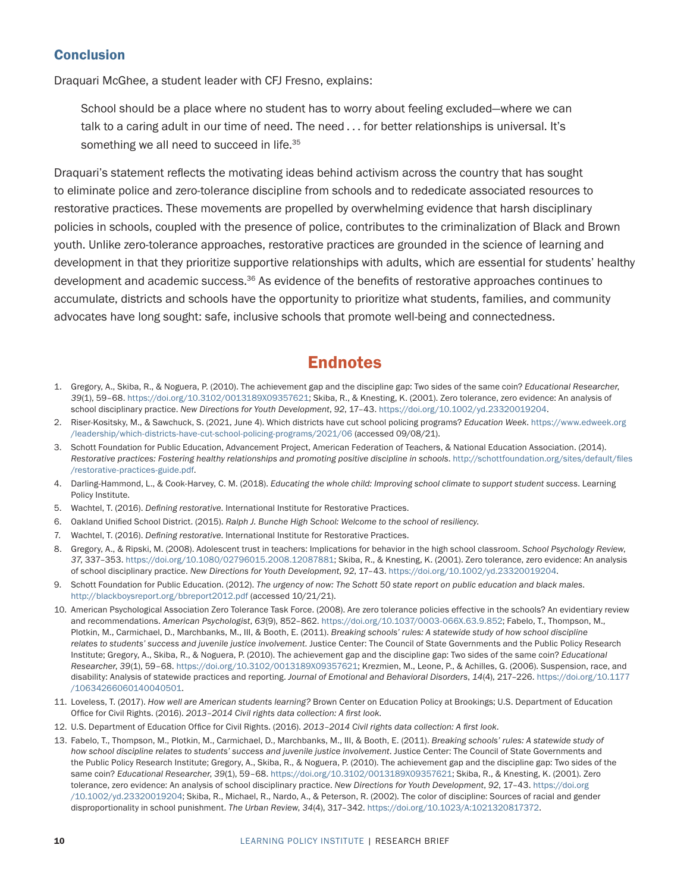#### **Conclusion**

Draquari McGhee, a student leader with CFJ Fresno, explains:

School should be a place where no student has to worry about feeling excluded—where we can talk to a caring adult in our time of need. The need . . . for better relationships is universal. It's something we all need to succeed in life.<sup>35</sup>

Draquari's statement reflects the motivating ideas behind activism across the country that has sought to eliminate police and zero-tolerance discipline from schools and to rededicate associated resources to restorative practices. These movements are propelled by overwhelming evidence that harsh disciplinary policies in schools, coupled with the presence of police, contributes to the criminalization of Black and Brown youth. Unlike zero-tolerance approaches, restorative practices are grounded in the science of learning and development in that they prioritize supportive relationships with adults, which are essential for students' healthy development and academic success.36 As evidence of the benefits of restorative approaches continues to accumulate, districts and schools have the opportunity to prioritize what students, families, and community advocates have long sought: safe, inclusive schools that promote well-being and connectedness.

## **Endnotes**

- 1. Gregory, A., Skiba, R., & Noguera, P. (2010). The achievement gap and the discipline gap: Two sides of the same coin? *Educational Researcher*, *39*(1), 59–68.<https://doi.org/10.3102/0013189X09357621>; Skiba, R., & Knesting, K. (2001). Zero tolerance, zero evidence: An analysis of school disciplinary practice. *New Directions for Youth Development*, *92*, 17–43.<https://doi.org/10.1002/yd.23320019204>.
- 2. Riser-Kositsky, M., & Sawchuck, S. (2021, June 4). Which districts have cut school policing programs? *Education Week*. [https://www.edweek.org](https://www.edweek.org/leadership/which-districts-have-cut-school-policing-programs/2021/06) [/leadership/which-districts-have-cut-school-policing-programs/2021/06](https://www.edweek.org/leadership/which-districts-have-cut-school-policing-programs/2021/06) (accessed 09/08/21).
- 3. Schott Foundation for Public Education, Advancement Project, American Federation of Teachers, & National Education Association. (2014). Restorative practices: Fostering healthy relationships and promoting positive discipline in schools. [http://schottfoundation.org/sites/default/files](http://schottfoundation.org/sites/default/files/restorative-practices-guide.pdf) [/restorative-practices-guide.pdf](http://schottfoundation.org/sites/default/files/restorative-practices-guide.pdf).
- 4. Darling-Hammond, L., & Cook-Harvey, C. M. (2018). *Educating the whole child: Improving school climate to support student success*. Learning Policy Institute.
- 5. Wachtel, T. (2016). *Defining restorative*. International Institute for Restorative Practices.
- 6. Oakland Unified School District. (2015). *Ralph J. Bunche High School: Welcome to the school of resiliency*.
- 7. Wachtel, T. (2016). *Defining restorative*. International Institute for Restorative Practices.
- 8. Gregory, A., & Ripski, M. (2008). Adolescent trust in teachers: Implications for behavior in the high school classroom. *School Psychology Review*, *37*, 337–353. [https://doi.org/10.1080/02796015.2008.12087881;](https://doi.org/10.1080/02796015.2008.12087881) Skiba, R., & Knesting, K. (2001). Zero tolerance, zero evidence: An analysis of school disciplinary practice. *New Directions for Youth Development*, *92*, 17–43. [https://doi.org/10.1002/yd.23320019204.](https://doi.org/10.1002/yd.23320019204)
- 9. Schott Foundation for Public Education. (2012). *The urgency of now: The Schott 50 state report on public education and black males*. <http://blackboysreport.org/bbreport2012.pdf> (accessed 10/21/21).
- 10. American Psychological Association Zero Tolerance Task Force. (2008). Are zero tolerance policies effective in the schools? An evidentiary review and recommendations. *American Psychologist*, *63*(9), 852–862.<https://doi.org/10.1037/0003-066X.63.9.852>; Fabelo, T., Thompson, M., Plotkin, M., Carmichael, D., Marchbanks, M., III, & Booth, E. (2011). *Breaking schools' rules: A statewide study of how school discipline relates to students' success and juvenile justice involvement*. Justice Center: The Council of State Governments and the Public Policy Research Institute; Gregory, A., Skiba, R., & Noguera, P. (2010). The achievement gap and the discipline gap: Two sides of the same coin? *Educational Researcher*, *39*(1), 59–68. [https://doi.org/10.3102/0013189X09357621;](https://doi.org/10.3102/0013189X09357621) Krezmien, M., Leone, P., & Achilles, G. (2006). Suspension, race, and disability: Analysis of statewide practices and reporting. *Journal of Emotional and Behavioral Disorders*, *14*(4), 217–226. [https://doi.org/10.1177](https://doi.org/10.1177/10634266060140040501) [/10634266060140040501](https://doi.org/10.1177/10634266060140040501).
- 11. Loveless, T. (2017). *How well are American students learning?* Brown Center on Education Policy at Brookings; U.S. Department of Education Office for Civil Rights. (2016). *2013–2014 Civil rights data collection: A first look*.
- 12. U.S. Department of Education Office for Civil Rights. (2016). *2013–2014 Civil rights data collection: A first look*.
- 13. Fabelo, T., Thompson, M., Plotkin, M., Carmichael, D., Marchbanks, M., III, & Booth, E. (2011). *Breaking schools' rules: A statewide study of how school discipline relates to students' success and juvenile justice involvement*. Justice Center: The Council of State Governments and the Public Policy Research Institute; Gregory, A., Skiba, R., & Noguera, P. (2010). The achievement gap and the discipline gap: Two sides of the same coin? *Educational Researcher*, *39*(1), 59–68.<https://doi.org/10.3102/0013189X09357621>; Skiba, R., & Knesting, K. (2001). Zero tolerance, zero evidence: An analysis of school disciplinary practice. *New Directions for Youth Development*, *92*, 17–43. [https://doi.org](https://doi.org/10.1002/yd.23320019204) [/10.1002/yd.23320019204;](https://doi.org/10.1002/yd.23320019204) Skiba, R., Michael, R., Nardo, A., & Peterson, R. (2002). The color of discipline: Sources of racial and gender disproportionality in school punishment. *The Urban Review*, *34*(4), 317–342. [https://doi.org/10.1023/A:1021320817372.](https://doi.org/10.1023/A:1021320817372)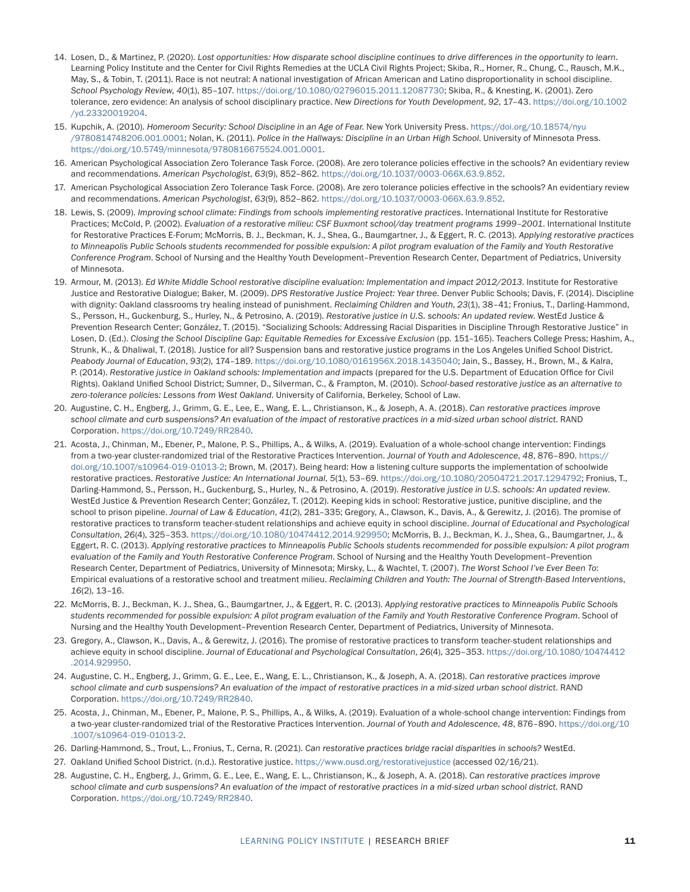- 14. Losen, D., & Martinez, P. (2020). *Lost opportunities: How disparate school discipline continues to drive differences in the opportunity to learn*. Learning Policy Institute and the Center for Civil Rights Remedies at the UCLA Civil Rights Project; Skiba, R., Horner, R., Chung, C., Rausch, M.K., May, S., & Tobin, T. (2011). Race is not neutral: A national investigation of African American and Latino disproportionality in school discipline. *School Psychology Review*, *40*(1), 85–107. <https://doi.org/10.1080/02796015.2011.12087730>; Skiba, R., & Knesting, K. (2001). Zero tolerance, zero evidence: An analysis of school disciplinary practice. *New Directions for Youth Development*, *92*, 17–43. [https://doi.org/10.1002](https://doi.org/10.1002/yd.23320019204) [/yd.23320019204.](https://doi.org/10.1002/yd.23320019204)
- 15. Kupchik, A. (2010). *Homeroom Security: School Discipline in an Age of Fear*. New York University Press. [https://doi.org/10.18574/nyu](https://doi.org/10.18574/nyu/9780814748206.001.0001) [/9780814748206.001.0001;](https://doi.org/10.18574/nyu/9780814748206.001.0001) Nolan, K. (2011). *Police in the Hallways: Discipline in an Urban High School*. University of Minnesota Press. <https://doi.org/10.5749/minnesota/9780816675524.001.0001>.
- 16. American Psychological Association Zero Tolerance Task Force. (2008). Are zero tolerance policies effective in the schools? An evidentiary review and recommendations. *American Psychologist*, *63*(9), 852–862.<https://doi.org/10.1037/0003-066X.63.9.852>.
- 17. American Psychological Association Zero Tolerance Task Force. (2008). Are zero tolerance policies effective in the schools? An evidentiary review and recommendations. *American Psychologist*, *63*(9), 852–862.<https://doi.org/10.1037/0003-066X.63.9.852>.
- 18. Lewis, S. (2009). *Improving school climate: Findings from schools implementing restorative practices*. International Institute for Restorative Practices; McCold, P. (2002). *Evaluation of a restorative milieu: CSF Buxmont school/day treatment programs 1999–2001*. International Institute for Restorative Practices E-Forum; McMorris, B. J., Beckman, K. J., Shea, G., Baumgartner, J., & Eggert, R. C. (2013). *Applying restorative practices*  to Minneapolis Public Schools students recommended for possible expulsion: A pilot program evaluation of the Family and Youth Restorative *Conference Program*. School of Nursing and the Healthy Youth Development–Prevention Research Center, Department of Pediatrics, University of Minnesota.
- 19. Armour, M. (2013). *Ed White Middle School restorative discipline evaluation: Implementation and impact 2012/2013*. Institute for Restorative Justice and Restorative Dialogue; Baker, M. (2009). *DPS Restorative Justice Project: Year three*. Denver Public Schools; Davis, F. (2014). Discipline with dignity: Oakland classrooms try healing instead of punishment. *Reclaiming Children and Youth*, *23*(1), 38–41; Fronius, T., Darling-Hammond, S., Persson, H., Guckenburg, S., Hurley, N., & Petrosino, A. (2019). *Restorative justice in U.S. schools: An updated review*. WestEd Justice & Prevention Research Center; González, T. (2015). "Socializing Schools: Addressing Racial Disparities in Discipline Through Restorative Justice" in Losen, D. (Ed.). *Closing the School Discipline Gap: Equitable Remedies for Excessive Exclusion* (pp. 151–165). Teachers College Press; Hashim, A., Strunk, K., & Dhaliwal, T. (2018). Justice for all? Suspension bans and restorative justice programs in the Los Angeles Unified School District. *Peabody Journal of Education*, *93*(2), 174–189.<https://doi.org/10.1080/0161956X.2018.1435040>; Jain, S., Bassey, H., Brown, M., & Kalra, P. (2014). *Restorative justice in Oakland schools: Implementation and impacts* (prepared for the U.S. Department of Education Office for Civil Rights). Oakland Unified School District; Sumner, D., Silverman, C., & Frampton, M. (2010). *School-based restorative justice as an alternative to zero-tolerance policies: Lessons from West Oakland*. University of California, Berkeley, School of Law.
- 20. Augustine, C. H., Engberg, J., Grimm, G. E., Lee, E., Wang, E. L., Christianson, K., & Joseph, A. A. (2018). *Can restorative practices improve school climate and curb suspensions? An evaluation of the impact of restorative practices in a mid-sized urban school district*. RAND Corporation. [https://doi.org/10.7249/RR2840.](https://doi.org/10.7249/RR2840)
- 21. Acosta, J., Chinman, M., Ebener, P., Malone, P. S., Phillips, A., & Wilks, A. (2019). Evaluation of a whole-school change intervention: Findings from a two-year cluster-randomized trial of the Restorative Practices Intervention. *Journal of Youth and Adolescence*, *48*, 876–890. [https://](https://doi.org/10.1007/s10964-019-01013-2) [doi.org/10.1007/s10964-019-01013-2](https://doi.org/10.1007/s10964-019-01013-2); Brown, M. (2017). Being heard: How a listening culture supports the implementation of schoolwide restorative practices. *Restorative Justice: An International Journal*, *5*(1), 53–69. <https://doi.org/10.1080/20504721.2017.1294792>; Fronius, T., Darling-Hammond, S., Persson, H., Guckenburg, S., Hurley, N., & Petrosino, A. (2019). *Restorative justice in U.S. schools: An updated review*. WestEd Justice & Prevention Research Center; González, T. (2012). Keeping kids in school: Restorative justice, punitive discipline, and the school to prison pipeline. *Journal of Law & Education*, *41*(2), 281–335; Gregory, A., Clawson, K., Davis, A., & Gerewitz, J. (2016). The promise of restorative practices to transform teacher-student relationships and achieve equity in school discipline. *Journal of Educational and Psychological Consultation*, *26*(4), 325–353. [https://doi.org/10.1080/10474412.2014.929950;](https://doi.org/10.1080/10474412.2014.929950) McMorris, B. J., Beckman, K. J., Shea, G., Baumgartner, J., & Eggert, R. C. (2013). *Applying restorative practices to Minneapolis Public Schools students recommended for possible expulsion: A pilot program evaluation of the Family and Youth Restorative Conference Program*. School of Nursing and the Healthy Youth Development–Prevention Research Center, Department of Pediatrics, University of Minnesota; Mirsky, L., & Wachtel, T. (2007). *The Worst School I've Ever Been To*: Empirical evaluations of a restorative school and treatment milieu. *Reclaiming Children and Youth: The Journal of Strength-Based Interventions*, *16*(2), 13–16.
- 22. McMorris, B. J., Beckman, K. J., Shea, G., Baumgartner, J., & Eggert, R. C. (2013). *Applying restorative practices to Minneapolis Public Schools students recommended for possible expulsion: A pilot program evaluation of the Family and Youth Restorative Conference Program*. School of Nursing and the Healthy Youth Development–Prevention Research Center, Department of Pediatrics, University of Minnesota.
- 23. Gregory, A., Clawson, K., Davis, A., & Gerewitz, J. (2016). The promise of restorative practices to transform teacher-student relationships and achieve equity in school discipline. *Journal of Educational and Psychological Consultation*, *26*(4), 325–353. [https://doi.org/10.1080/10474412](https://doi.org/10.1080/10474412.2014.929950) [.2014.929950](https://doi.org/10.1080/10474412.2014.929950).
- 24. Augustine, C. H., Engberg, J., Grimm, G. E., Lee, E., Wang, E. L., Christianson, K., & Joseph, A. A. (2018). *Can restorative practices improve school climate and curb suspensions? An evaluation of the impact of restorative practices in a mid-sized urban school district*. RAND Corporation. [https://doi.org/10.7249/RR2840.](https://doi.org/10.7249/RR2840)
- 25. Acosta, J., Chinman, M., Ebener, P., Malone, P. S., Phillips, A., & Wilks, A. (2019). Evaluation of a whole-school change intervention: Findings from a two-year cluster-randomized trial of the Restorative Practices Intervention. *Journal of Youth and Adolescence*, *48*, 876–890. [https://doi.org/10](https://doi.org/10.1007/s10964-019-01013-2) [.1007/s10964-019-01013-2.](https://doi.org/10.1007/s10964-019-01013-2)
- 26. Darling-Hammond, S., Trout, L., Fronius, T., Cerna, R. (2021). *Can restorative practices bridge racial disparities in schools?* WestEd.
- 27. Oakland Unified School District. (n.d.). Restorative justice.<https://www.ousd.org/restorativejustice> (accessed 02/16/21).
- 28. Augustine, C. H., Engberg, J., Grimm, G. E., Lee, E., Wang, E. L., Christianson, K., & Joseph, A. A. (2018). *Can restorative practices improve school climate and curb suspensions? An evaluation of the impact of restorative practices in a mid-sized urban school district*. RAND Corporation. [https://doi.org/10.7249/RR2840.](https://doi.org/10.7249/RR2840)